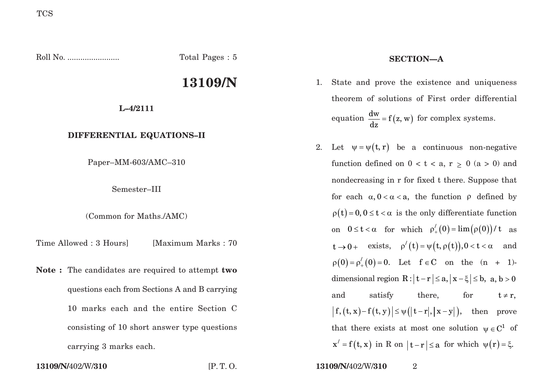Roll No. ........................ Total Pages : 5 **13109/N L–4/2111 DIFFERENTIAL EQUATIONS–II** Paper–MM-603/AMC–310 Semester–III (Common for Maths./AMC) Time Allowed : 3 Hours [Maximum Marks : 70] **Note :** The candidates are required to attempt **two** questions each from Sections A and B carrying 10 marks each and the entire Section C consisting of 10 short answer type questions carrying 3 marks each. **SECTION—A**

**13109/N/**402/W/**310** [P. T. O. **13109/N/**402/W/**310** 2

- 1. State and prove the existence and uniqueness theorem of solutions of First order differential equation  $\frac{dw}{dx} = f(z, w)$  for complex systems.
- 2. Let  $\psi = \psi(t, r)$  be a continuous non-negative function defined on  $0 < t < a$ ,  $r > 0$   $(a > 0)$  and nondecreasing in r for fixed t there. Suppose that for each  $\alpha, 0 < \alpha < a$ , the function  $\rho$  defined by  $\rho(t) = 0, 0 \le t < \alpha$  is the only differentiate function on  $0 \le t < \alpha$  for which  $\rho'_{+}(0) = \lim_{\alpha \to 0} (\rho(0))/t$  as  $t \rightarrow 0 +$  exists,  $\rho'(t) = \psi(t, \rho(t)), 0 < t < \alpha$  and  $\rho(0) = \rho'_{+}(0) = 0$ . Let  $f \in C$  on the  $(n + 1)$ dimensional region  $R : |t - r| \le a, |x - \xi| \le b$ ,  $a, b > 0$ and satisfy there, for  $t \neq r$ ,  $|f, (t, x)-f(t, y)| \leq \psi(|t-r|, |x-y|)$ , then prove that there exists at most one solution  $\psi \in C^1$  of  $x' = f(t, x)$  in R on  $|t - r| \le a$  for which  $\psi(r) = \xi$ .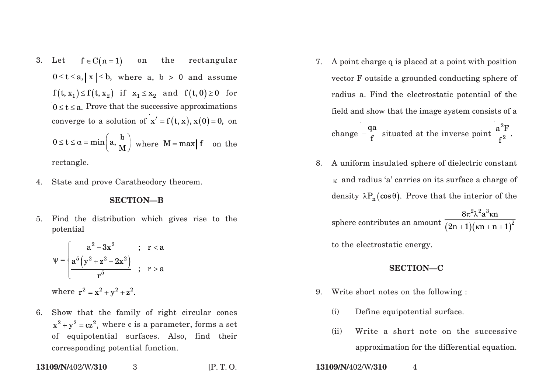3. Let  $f \in C(n=1)$  on the rectangular  $0 \le t \le a, |x| \le b$ , where a, b > 0 and assume  $f(t, x_1) \leq f(t, x_2)$  if  $x_1 \leq x_2$  and  $f(t, 0) \geq 0$  for  $0 \le t \le a$ . Prove that the successive approximations converge to a solution of  $x' = f(t, x), x(0) = 0$ , on

$$
0 \le t \le \alpha = \min\left(a, \frac{b}{M}\right)
$$
 where  $M = \max|f|$  on the

rectangle.

4. State and prove Caratheodory theorem.

## **SECTION—B**

5. Find the distribution which gives rise to the potential

$$
\psi = \begin{cases}\n a^{2} - 3x^{2} & ; r < a \\
\frac{a^{5}(y^{2} + z^{2} - 2x^{2})}{r^{5}} & ; r > a\n\end{cases}
$$
\nwhere  $r^{2} = x^{2} + y^{2} + z^{2}$ .

6. Show that the family of right circular cones  $x^{2} + y^{2} = cz^{2}$ , where c is a parameter, forms a set of equipotential surfaces. Also, find their corresponding potential function.

**13109/N/**402/W/**310** 3 [P. T. O. **13109/N/**402/W/**310** 4

- 7. A point charge q is placed at a point with position vector F outside a grounded conducting sphere of radius a. Find the electrostatic potential of the field and show that the image system consists of a change  $-\frac{qa}{f}$  situated at the inverse point  $\frac{a^2F}{f^2}$ .
- 8. A uniform insulated sphere of dielectric constant <sup>κ</sup> and radius 'a' carries on its surface a charge of density  $\lambda P_n(\cos \theta)$ . Prove that the interior of the  $\text{sphere contributes an amount } \overline{(2\text{n}+1)(\text{\tt kn}+\text{n}+1)}$  $2\hspace{-0.04cm}\small{\wedge}\hspace{0.2cm} 2$  ,  $3$ 2  $8\pi^2$ λ $^2$ a $^{\rm o}$ κ ${\rm n}$  $(2n+1)$  $(\kappa n + n + 1)$ π $^2$ λ $^2$ a $^{\circ}$ κ  $+1$  ) (  $\kappa$ n + n +

to the electrostatic energy.

## **SECTION—C**

- 9. Write short notes on the following :
	- (i) Define equipotential surface.
	- (ii) Write a short note on the successive approximation for the differential equation.